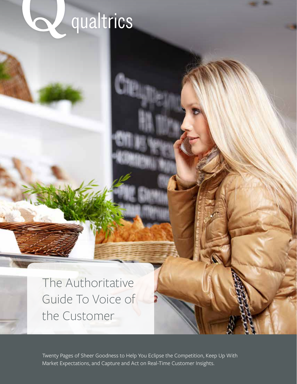## qualtrics

The Authoritative Guide To Voice of the Customer

Twenty Pages of Sheer Goodness to Help You Eclipse the Competition, Keep Up With Market Expectations, and Capture and Act on Real-Time Customer Insights.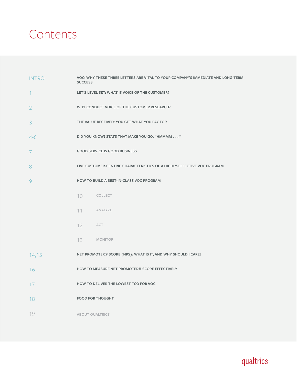### Contents

| <b>INTRO</b>   | VOC: WHY THESE THREE LETTERS ARE VITAL TO YOUR COMPANY'S IMMEDIATE AND LONG-TERM<br><b>SUCCESS</b> |  |  |  |  |
|----------------|----------------------------------------------------------------------------------------------------|--|--|--|--|
| 1              | LET'S LEVEL SET: WHAT IS VOICE OF THE CUSTOMER?                                                    |  |  |  |  |
| $\overline{2}$ | WHY CONDUCT VOICE OF THE CUSTOMER RESEARCH?                                                        |  |  |  |  |
| 3              | THE VALUE RECEIVED: YOU GET WHAT YOU PAY FOR                                                       |  |  |  |  |
| $4-6$          | DID YOU KNOW? STATS THAT MAKE YOU GO, "HMMMM "                                                     |  |  |  |  |
| 7              | <b>GOOD SERVICE IS GOOD BUSINESS</b>                                                               |  |  |  |  |
| 8              | FIVE CUSTOMER-CENTRIC CHARACTERISTICS OF A HIGHLY-EFFECTIVE VOC PROGRAM                            |  |  |  |  |
| 9              | HOW TO BUILD A BEST-IN-CLASS VOC PROGRAM                                                           |  |  |  |  |
|                | 10 COLLECT                                                                                         |  |  |  |  |
|                | 11<br>ANALYZE                                                                                      |  |  |  |  |
|                | 12 ACT                                                                                             |  |  |  |  |
|                | 13 MONITOR                                                                                         |  |  |  |  |
| 14,15          | NET PROMOTER® SCORE (NPS): WHAT IS IT, AND WHY SHOULD I CARE?                                      |  |  |  |  |
| 16             | HOW TO MEASURE NET PROMOTER® SCORE EFFECTIVELY                                                     |  |  |  |  |
| 17             | HOW TO DELIVER THE LOWEST TCO FOR VOC                                                              |  |  |  |  |
| 18             | <b>FOOD FOR THOUGHT</b>                                                                            |  |  |  |  |
| 19             | <b>ABOUT QUALTRICS</b>                                                                             |  |  |  |  |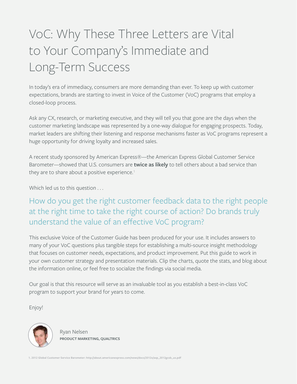### VoC: Why These Three Letters are Vital to Your Company's Immediate and Long-Term Success

In today's era of immediacy, consumers are more demanding than ever. To keep up with customer expectations, brands are starting to invest in Voice of the Customer (VoC) programs that employ a closed-loop process.

Ask any CX, research, or marketing executive, and they will tell you that gone are the days when the customer marketing landscape was represented by a one-way dialogue for engaging prospects. Today, market leaders are shifting their listening and response mechanisms faster as VoC programs represent a huge opportunity for driving loyalty and increased sales.

A recent study sponsored by American Express®—the American Express Global Customer Service Barometer—showed that U.S. consumers are **twice as likely** to tell others about a bad service than they are to share about a positive experience. $1$ 

Which led us to this question . . .

#### How do you get the right customer feedback data to the right people at the right time to take the right course of action? Do brands truly understand the value of an effective VoC program?

This exclusive Voice of the Customer Guide has been produced for your use. It includes answers to many of your VoC questions plus tangible steps for establishing a multi-source insight methodology that focuses on customer needs, expectations, and product improvement. Put this guide to work in your own customer strategy and presentation materials. Clip the charts, quote the stats, and blog about the information online, or feel free to socialize the findings via social media.

Our goal is that this resource will serve as an invaluable tool as you establish a best-in-class VoC program to support your brand for years to come.

Enjoy!



Ryan Nelsen **PRODUCT MARKETING, QUALTRICS**

**1. 2012 Global Customer Service Barometer: http://about.americanexpress.com/news/docs/2012x/axp\_2012gcsb\_us.pdf**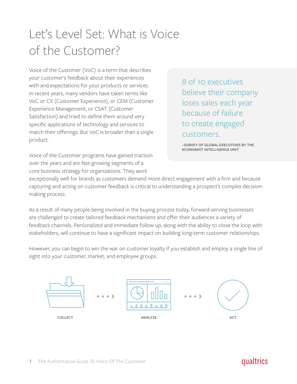### Let's Level Set: What is Voice of the Customer?

Voice of the Customer (VoC) is a term that describes your customer's feedback about their experiences with and expectations for your products or services. In recent years, many vendors have taken terms like VoC or CX (Customer Experience), or CEM (Customer Experience Management, or CSAT (Customer Satisfaction) and tried to define them around very specific applications of technology and services to match their offerings. But VoC is broader than a single product.

8 of 10 executives believe their company loses sales each year because of failure to create engaged customers.

**–SURVEY OF GLOBAL EXECUTIVES BY THE ECONOMIST INTELLIGENCE UNIT**

Voice of the Customer programs have gained traction over the years and are fast-growing segments of a core business strategy for organizations. They work

exceptionally well for brands as customers demand more direct engagement with a firm and because capturing and acting on customer feedback is critical to understanding a prospect's complex decisionmaking process.

As a result of many people being involved in the buying process today, forward-serving businesses are challenged to create tailored feedback mechanisms and offer their audiences a variety of feedback channels. Personalized and immediate follow up, along with the ability to close the loop with stakeholders, will continue to have a significant impact on building long-term customer relationships.

However, you can begin to win the war on customer loyalty if you establish and employ a single line of sight into your customer, market, and employee groups.

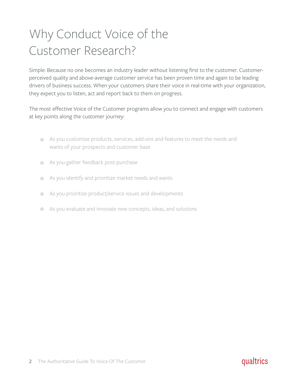### Why Conduct Voice of the Customer Research?

Simple: Because no one becomes an industry leader without listening first to the customer. Customerperceived quality and above-average customer service has been proven time and again to be leading drivers of business success. When your customers share their voice in real-time with your organization, they expect you to listen, act and report back to them on progress.

The most effective Voice of the Customer programs allow you to connect and engage with customers at key points along the customer journey:

- As you customize products, services, add-ons and features to meet the needs and wants of your prospects and customer base
- As you gather feedback post-purchase  $\circ$
- As you identify and prioritize market needs and wants  $\circ$
- As you prioritize product/service issues and developments  $\circ$
- $\circ$ As you evaluate and innovate new concepts, ideas, and solutions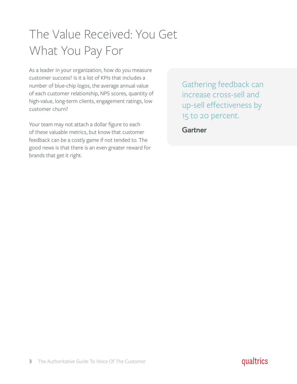### The Value Received: You Get What You Pay For

As a leader in your organization, how do you measure customer success? Is it a list of KPIs that includes a number of blue-chip logos, the average annual value of each customer relationship, NPS scores, quantity of high-value, long-term clients, engagement ratings, low customer churn?

Your team may not attach a dollar figure to each of these valuable metrics, but know that customer feedback can be a costly game if not tended to. The good news is that there is an even greater reward for brands that get it right.

Gathering feedback can increase cross-sell and up-sell effectiveness by 15 to 20 percent.

**Gartner** 

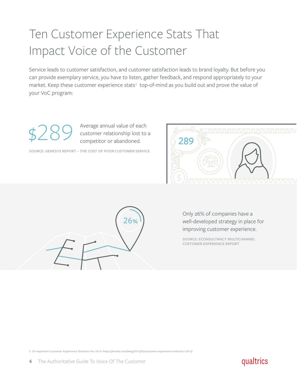### Ten Customer Experience Stats That Impact Voice of the Customer

Service leads to customer satisfaction, and customer satisfaction leads to brand loyalty. But before you can provide exemplary service, you have to listen, gather feedback, and respond appropriately to your market. Keep these customer experience stats<sup>2</sup> top-of-mind as you build out and prove the value of your VoC program:

Average annual value of each customer relationship lost to a<br>competitor or abandoned.

**SOURCE: GENESYS REPORT – THE COST OF POOR CUSTOMER SERVICE**





Only 26% of companies have a well-developed strategy in place for improving customer experience.

**SOURCE: ECONSULTANCY MULTICHANNEL CUSTOMER EXPERIENCE REPORT**

**2. 20 Important Customer Experience Statistics for 2012: https://fonolo.com/blog/2012/03/customer-experience-statistics-2012/**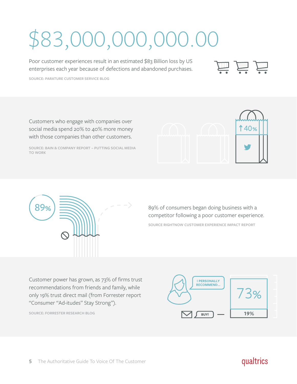# \$83,000,000,000.00

Poor customer experiences result in an estimated \$83 Billion loss by US enterprises each year because of defections and abandoned purchases.

**SOURCE: PARATURE CUSTOMER SERVICE BLOG**

Customers who engage with companies over social media spend 20% to 40% more money with those companies than other customers.

**SOURCE: BAIN & COMPANY REPORT – PUTTING SOCIAL MEDIA TO WORK**





**SOURCE RIGHTNOW CUSTOMER EXPERIENCE IMPACT REPORT** 89% of consumers began doing business with a competitor following a poor customer experience.

Customer power has grown, as 73% of firms trust recommendations from friends and family, while only 19% trust direct mail (from Forrester report "Consumer "Ad-itudes" Stay Strong").

5 The Authoritative Guide To Voice Of The Customer

**SOURCE: FORRESTER RESEARCH BLOG**



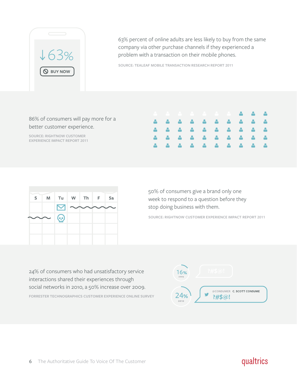

63% percent of online adults are less likely to buy from the same company via other purchase channels if they experienced a problem with a transaction on their mobile phones.

**SOURCE: TEALEAF MOBILE TRANSACTION RESEARCH REPORT 2011**

#### 86% of consumers will pay more for a better customer experience.

**SOURCE: RIGHTNOW CUSTOMER EXPERIENCE IMPACT REPORT 2011**

| . <b>.</b> |  |
|------------|--|
|            |  |
|            |  |
|            |  |
|            |  |



50% of consumers give a brand only one week to respond to a question before they stop doing business with them.

**SOURCE: RIGHTNOW CUSTOMER EXPERIENCE IMPACT REPORT 2011**

**FORRESTER TECHNOGRAPHICS CUSTOMER EXPERIENCE ONLINE SURVEY** 24% of consumers who had unsatisfactory service interactions shared their experiences through social networks in 2010, a 50% increase over 2009.

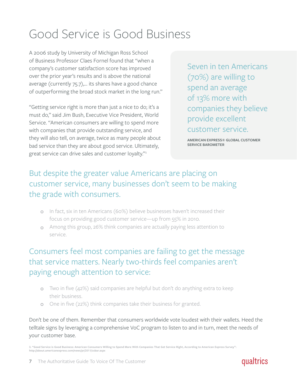### Good Service is Good Business

A 2006 study by University of Michigan Ross School of Business Professor Claes Fornel found that "when a company's customer satisfaction score has improved over the prior year's results and is above the national average (currently 75.7),… its shares have a good chance of outperforming the broad stock market in the long run."

"Getting service right is more than just a nice to do; it's a must do," said Jim Bush, Executive Vice President, World Service. "American consumers are willing to spend more with companies that provide outstanding service, and they will also tell, on average, twice as many people about bad service than they are about good service. Ultimately, great service can drive sales and customer loyalty."**<sup>3</sup>**

Seven in ten Americans (70%) are willing to spend an average of 13% more with companies they believe provide excellent customer service.

**AMERICAN EXPRESS® GLOBAL CUSTOMER SERVICE BAROMETER**

#### But despite the greater value Americans are placing on customer service, many businesses don't seem to be making the grade with consumers.

- In fact, six in ten Americans (60%) believe businesses haven't increased their focus on providing good customer service—up from 55% in 2010.
- Among this group, 26% think companies are actually paying less attention to service.

#### Consumers feel most companies are failing to get the message that service matters. Nearly two-thirds feel companies aren't paying enough attention to service:

- Two in five (42%) said companies are helpful but don't do anything extra to keep their business.
- One in five (22%) think companies take their business for granted.

Don't be one of them. Remember that consumers worldwide vote loudest with their wallets. Heed the telltale signs by leveraging a comprehensive VoC program to listen to and in turn, meet the needs of your customer base.

**3. "Good Service is Good Business: American Consumers Willing to Spend More With Companies That Get Service Right, According to American Express Survey": http://about.americanexpress.com/news/pr/2011/csbar.aspx**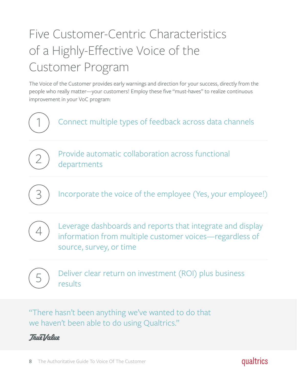## Five Customer-Centric Characteristics of a Highly-Effective Voice of the Customer Program

The Voice of the Customer provides early warnings and direction for your success, directly from the people who really matter—your customers! Employ these five "must-haves" to realize continuous improvement in your VoC program:



"There hasn't been anything we've wanted to do that we haven't been able to do using Qualtrics."



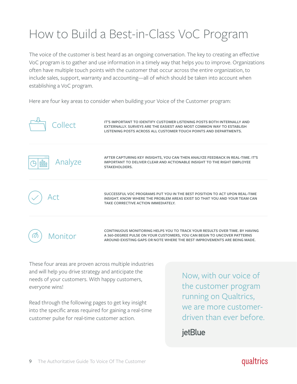### How to Build a Best-in-Class VoC Program

The voice of the customer is best heard as an ongoing conversation. The key to creating an effective VoC program is to gather and use information in a timely way that helps you to improve. Organizations often have multiple touch points with the customer that occur across the entire organization, to include sales, support, warranty and accounting—all of which should be taken into account when establishing a VoC program.

Here are four key areas to consider when building your Voice of the Customer program:

| Collect          | IT'S IMPORTANT TO IDENTIFY CUSTOMER LISTENING POSTS BOTH INTERNALLY AND<br>EXTERNALLY, SURVEYS ARE THE EASIEST AND MOST COMMON WAY TO ESTABLISH<br>LISTENING POSTS ACROSS ALL CUSTOMER TOUCH POINTS AND DEPARTMENTS.              |
|------------------|-----------------------------------------------------------------------------------------------------------------------------------------------------------------------------------------------------------------------------------|
| Analyze<br>allOo | AFTER CAPTURING KEY INSIGHTS, YOU CAN THEN ANALYZE FEEDBACK IN REAL-TIME. IT'S<br>IMPORTANT TO DELIVER CLEAR AND ACTIONABLE INSIGHT TO THE RIGHT EMPLOYEE<br><b>STAKEHOLDERS.</b>                                                 |
|                  | SUCCESSFUL VOC PROGRAMS PUT YOU IN THE BEST POSITION TO ACT UPON REAL-TIME<br>INSIGHT, KNOW WHERE THE PROBLEM AREAS EXIST SO THAT YOU AND YOUR TEAM CAN<br>TAKE CORRECTIVE ACTION IMMEDIATELY.                                    |
| Monitor          | CONTINUOUS MONITORING HELPS YOU TO TRACK YOUR RESULTS OVER TIME, BY HAVING<br>A 360-DEGREE PULSE ON YOUR CUSTOMERS, YOU CAN BEGIN TO UNCOVER PATTERNS<br>AROUND EXISTING GAPS OR NOTE WHERE THE BEST IMPROVEMENTS ARE BEING MADE. |

These four areas are proven across multiple industries and will help you drive strategy and anticipate the needs of your customers. With happy customers, everyone wins!

Read through the following pages to get key insight into the specific areas required for gaining a real-time customer pulse for real-time customer action.

Now, with our voice of the customer program running on Qualtrics, we are more customerdriven than ever before.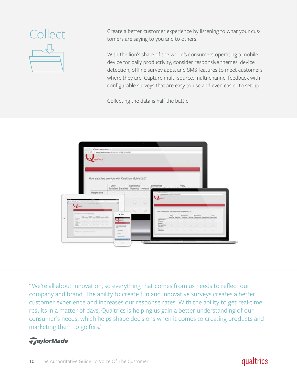

Collect Create a better customer experience by listening to what your customers are saying to you and to others.

> With the lion's share of the world's consumers operating a mobile device for daily productivity, consider responsive themes, device detection, offline survey apps, and SMS features to meet customers where they are. Capture multi-source, multi-channel feedback with configurable surveys that are easy to use and even easier to set up.

Collecting the data is half the battle.



"We're all about innovation, so everything that comes from us needs to reflect our company and brand. The ability to create fun and innovative surveys creates a better customer experience and increases our response rates. With the ability to get real-time results in a matter of days, Qualtrics is helping us gain a better understanding of our consumer's needs, which helps shape decisions when it comes to creating products and marketing them to golfers."

#### *GaylorMade*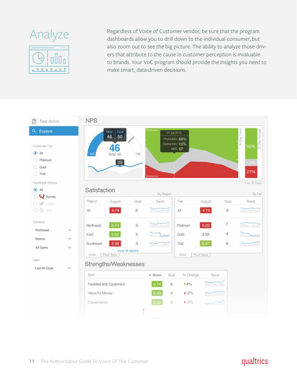

Analyze Regardless of Voice of Customer vendor, be sure that the program<br>dashboards allow you to drill down to the individual consumer. but dashboards allow you to drill down to the individual consumer, but also zoom out to see the big picture. The ability to analyze those drivers that attribute to the cause in customer perception is invaluable **WILLLE** to brands. Your VoC program should provide the insights you need to **nutries to make smart**, data-driven decisions.

| 顷<br>Take Action                                                 | <b>NPS</b>                                                                                                      |                                                     |
|------------------------------------------------------------------|-----------------------------------------------------------------------------------------------------------------|-----------------------------------------------------|
| Q Explore                                                        | horrictor<br>Goal<br>Now<br>21 Jul 2014<br>50<br>46                                                             |                                                     |
| Customer Tier<br>$\odot$ All<br>Platinum<br>Gold<br><b>Trial</b> | Promoters 69%<br>Detractors 12%<br>46<br><b>NPS 57</b><br>Goal: 50<br>100<br>$-100$<br>$35$<br><b>Detractor</b> | 30 Day Trend<br>30 Day Average<br>60%<br>13%<br>27% |
| Feedback Source<br>$\odot$ All                                   | Satisfaction                                                                                                    | Last 30 Days                                        |
| o & Survey                                                       | By Region                                                                                                       | By Tier                                             |
| O <b>W</b> Twitter                                               | Tier<br>August<br>August<br>Region<br>Goal<br>Trend                                                             | Goal<br>Trend                                       |
| O & Yelp                                                         | 4.74<br>4.74<br>$\overline{6}$<br>All<br>All                                                                    | 6                                                   |
| Location                                                         | 5.74<br>6.22<br>5<br>Northeast<br>Platinum                                                                      | 7                                                   |
| Northeast<br>$\checkmark$                                        | 5.32<br>5<br>3.92<br>Gold<br>East                                                                               | 4                                                   |
| Boston<br>$\checkmark$                                           | 3.56<br>6.47<br>5<br>Southeast<br>Trial                                                                         | 6                                                   |
| All Gyms<br>$\checkmark$                                         | show all regions                                                                                                |                                                     |
| Date                                                             | Pivot Table<br>Pivot Table<br>Chart<br>Chart                                                                    |                                                     |
| Last 90 Days<br>$\checkmark$                                     | Strengths/Weaknesses                                                                                            |                                                     |
|                                                                  | Item<br>% Change<br>$-$ Mean<br>Goal<br>Trend                                                                   |                                                     |
|                                                                  | 6.74<br>Facilities and Equipment<br>6<br><b>t</b> 4%                                                            |                                                     |
|                                                                  | 5.43<br>Value for Money<br>$4 - 2\%$<br>4                                                                       |                                                     |
|                                                                  | 5.32<br>5<br>$4 - 3\%$<br>Convenience                                                                           |                                                     |
|                                                                  |                                                                                                                 |                                                     |
|                                                                  | Î                                                                                                               |                                                     |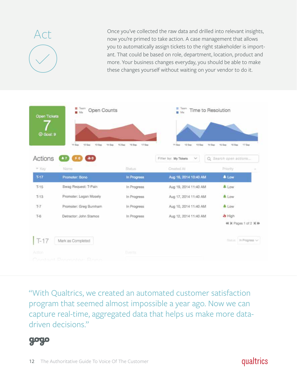$\mathsf{Act}$  Once you've collected the raw data and drilled into relevant insights, now you're primed to take action. A case management that allows you to automatically assign tickets to the right stakeholder is important. That could be based on role, department, location, product and more. Your business changes everyday, you should be able to make these changes yourself without waiting on your vendor to do it.

| Open Tickets<br>O Goal: 9 | <b>III</b> Toam<br>Open Counts<br><b>B</b> Ma |                            | Toam<br>M                                                           | Time to Resolution                                            |
|---------------------------|-----------------------------------------------|----------------------------|---------------------------------------------------------------------|---------------------------------------------------------------|
| Actions                   | 11 Sep<br>12 Sep<br>13 Sep<br>14 Sep<br>400   | 16 Sep<br>17.5ep<br>15 Sep | 11 Sep<br>12 Sep<br>13 Sep<br>Filter by: My Tickets<br>$\checkmark$ | 54 Sep<br>15 Sep<br>15 Sep<br>17 Sep<br>Q Search open actions |
| * Key                     | Name                                          | Stelus                     | Created At                                                          | Priority                                                      |
| $T-17$                    | Promoter: Bono                                | In Progress                | Aug 16, 2014 10:40 AM                                               | <b>A</b> Low                                                  |
| $T-15$                    | Swag Request: T-Pain                          | In Progress                | Aug 19, 2014 11:40 AM                                               | <b>A</b> Low                                                  |
| $T-13$                    | Promoter: Logan Mosely                        | In Progress                | Aug 17, 2014 11:40 AM                                               | <b>A</b> Low                                                  |
| $T-7$                     | Promoter: Greg Burnham                        | In Progress                | Aug 10, 2014 11:40 AM                                               | <b>A</b> Low                                                  |
| $T-6$                     | Detractor: John Stamos                        | In Progress                | Aug 12, 2014 11:40 AM                                               | <b>Jo</b> High                                                |
|                           |                                               |                            |                                                                     | 44 M Pages 1 of 2 M M                                         |
| $T-17$                    | Mark as Completed                             |                            |                                                                     | Statut: In Progress v                                         |
| Action                    |                                               | Events                     |                                                                     |                                                               |
|                           | Contact Promotor: Rono                        |                            |                                                                     |                                                               |

"With Qualtrics, we created an automated customer satisfaction program that seemed almost impossible a year ago. Now we can capture real-time, aggregated data that helps us make more datadriven decisions."

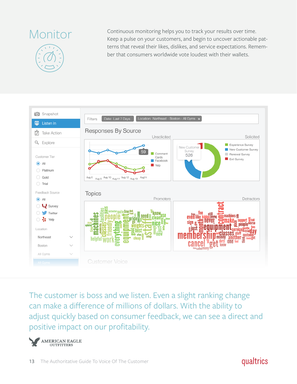

Monitor Continuous monitoring helps you to track your results over time. Keep a pulse on your customers, and begin to uncover actionable patterns that reveal their likes, dislikes, and service expectations. Remember that consumers worldwide vote loudest with their wallets.



The customer is boss and we listen. Even a slight ranking change can make a difference of millions of dollars. With the ability to adjust quickly based on consumer feedback, we can see a direct and positive impact on our profitability.

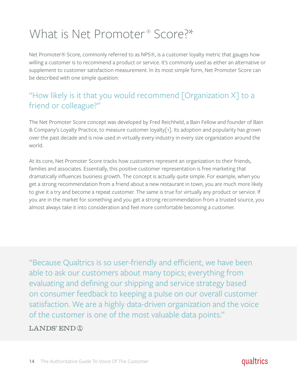### What is Net Promoter<sup>®</sup> Score?\*

Net Promoter® Score, commonly referred to as NPS®, is a customer loyalty metric that gauges how willing a customer is to recommend a product or service. It's commonly used as either an alternative or supplement to customer satisfaction measurement. In its most simple form, Net Promoter Score can be described with one simple question:

#### "How likely is it that you would recommend [Organization X] to a friend or colleague?"

The Net Promoter Score concept was developed by Fred Reichheld, a Bain Fellow and founder of Bain & Company's Loyalty Practice, to measure customer loyalty[1]. Its adoption and popularity has grown over the past decade and is now used in virtually every industry in every size organization around the world.

At its core, Net Promoter Score tracks how customers represent an organization to their friends, families and associates. Essentially, this positive customer representation is free marketing that dramatically influences business growth. The concept is actually quite simple. For example, when you get a strong recommendation from a friend about a new restaurant in town, you are much more likely to give it a try and become a repeat customer. The same is true for virtually any product or service. If you are in the market for something and you get a strong recommendation from a trusted source, you almost always take it into consideration and feel more comfortable becoming a customer.

"Because Qualtrics is so user-friendly and efficient, we have been able to ask our customers about many topics; everything from evaluating and defining our shipping and service strategy based on consumer feedback to keeping a pulse on our overall customer satisfaction. We are a highly data-driven organization and the voice of the customer is one of the most valuable data points."

**LANDS' END ®**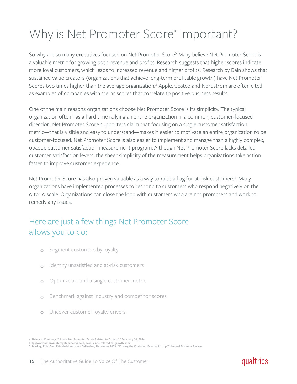### Why is Net Promoter Score® Important?

So why are so many executives focused on Net Promoter Score? Many believe Net Promoter Score is a valuable metric for growing both revenue and profits. Research suggests that higher scores indicate more loyal customers, which leads to increased revenue and higher profits. Research by Bain shows that sustained value creators (organizations that achieve long-term profitable growth) have Net Promoter Scores two times higher than the average organization.<sup>4</sup> Apple, Costco and Nordstrom are often cited as examples of companies with stellar scores that correlate to positive business results.

One of the main reasons organizations choose Net Promoter Score is its simplicity. The typical organization often has a hard time rallying an entire organization in a common, customer-focused direction. Net Promoter Score supporters claim that focusing on a single customer satisfaction metric—that is visible and easy to understand—makes it easier to motivate an entire organization to be customer-focused. Net Promoter Score is also easier to implement and manage than a highly complex, opaque customer satisfaction measurement program. Although Net Promoter Score lacks detailed customer satisfaction levers, the sheer simplicity of the measurement helps organizations take action faster to improve customer experience.

Net Promoter Score has also proven valuable as a way to raise a flag for at-risk customers<sup>5</sup>. Many organizations have implemented processes to respond to customers who respond negatively on the 0 to 10 scale. Organizations can close the loop with customers who are not promoters and work to remedy any issues.

#### Here are just a few things Net Promoter Score allows you to do:

- $\circ$ Segment customers by loyalty
- Identify unsatisfied and at-risk customers  $\circ$
- Optimize around a single customer metric  $\bigcirc$
- Benchmark against industry and competitor scores  $\circ$
- Uncover customer loyalty drivers  $\circ$

**http://www.netpromotersystem.com/about/how-is-nps-related-to-growth.aspx 5. Markey, Rob; Fred Reichheld, Andreas Dullweber, December 2009, "Closing the Customer Feedback Loop," Harvard Business Review**

**<sup>4.</sup> Bain and Company, "How is Net Promoter Score Related to Growth?" February 10, 2014:**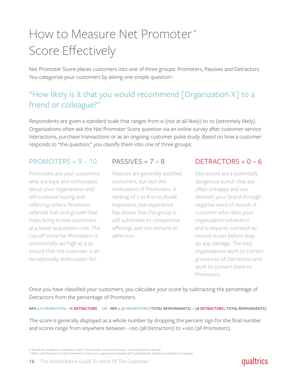### How to Measure Net Promoter ® Score Effectively

Net Promoter Score places customers into one of three groups: Promoters, Passives and Detractors. You categorize your customers by asking one simple question<sup>6</sup>:

#### "How likely is it that you would recommend [Organization X] to a friend or colleague?"

Respondents are given a standard scale that ranges from  $\circ$  (not at all likely) to 10 (extremely likely). Organizations often ask the Net Promoter Score question via an online survey after customer service interactions, purchase transactions or as an ongoing customer pulse study. Based on how a customer responds to "the question," you classify them into one of three groups:

#### PROMOTERS =  $9 - 10$

Promoters are your customers who are loyal and enthusiastic about your organization and will continue buying and referring others. Promoter referrals fuel viral growth that helps bring in new customers at a lower acquisition cost. The cut-off score for Promoters is intentionally set high at 9 to ensure that the customer is an exceptionally enthusiastic fan.

#### PASSIVES =  $7 - 8$

Passives are generally satisfied customers, but lack the enthusiasm of Promoters. A ranking of 7 or 8 is no doubt impressive, but experience has shown that this group is still vulnerable to competitive offerings and not immune to defection.

#### $DETRACTORS = 0 - 6$

Detractors are a potentially dangerous bunch that are often unhappy and can diminish your brand through negative word of mouth. A customer who rates your organization between 0 and 6 requires outreach to resolve issues before they do any damage. The best organizations work to correct grievances of Detractors and work to convert them to Promoters.

Once you have classified your customers, you calculate your score by subtracting the percentage of Detractors from the percentage of Promoters.

**NPS = % PROMOTERS – % DETRACTORS OR NPS = (# PROMOTERS / TOTAL RESPONDENTS) – (# DETRACTORS / TOTAL RESPONDENTS)**

The score is generally displayed as a whole number by dropping the percent sign for the final number and scores range from anywhere between –100 (all Detractors) to +100 (all Promoters).

<sup>6.</sup> Reichheld, Frederick F, December 2003, "One Number You Need to Grow," Harvard Business Review<br>\* NPS®, Net Promoter® & Net Promoter® Score are a registered trademark of Fred Reichheld, Satmetrix, and Bain & Company.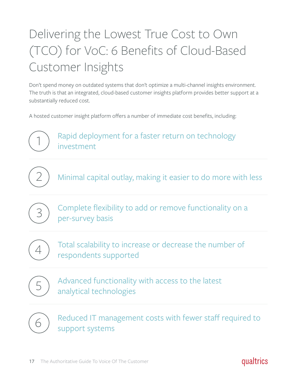## Delivering the Lowest True Cost to Own (TCO) for VoC: 6 Benefits of Cloud-Based Customer Insights

Don't spend money on outdated systems that don't optimize a multi-channel insights environment. The truth is that an integrated, cloud-based customer insights platform provides better support at a substantially reduced cost.

A hosted customer insight platform offers a number of immediate cost benefits, including:



2 Minimal capital outlay, making it easier to do more with less

Complete flexibility to add or remove functionality on a  $\left(3\right)$  per-survey basis



Total scalability to increase or decrease the number of respondents supported 4



Advanced functionality with access to the latest analytical technologies 5



Reduced IT management costs with fewer staff required to  $\begin{array}{c} \bullet \\ \bullet \end{array}$  support systems

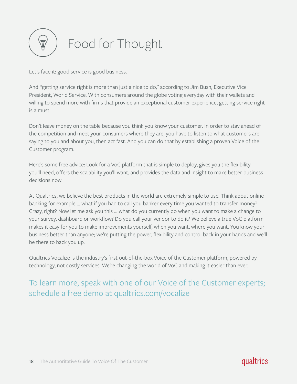

Let's face it: good service is good business.

And "getting service right is more than just a nice to do," according to Jim Bush, Executive Vice President, World Service. With consumers around the globe voting everyday with their wallets and willing to spend more with firms that provide an exceptional customer experience, getting service right is a must.

Don't leave money on the table because you think you know your customer. In order to stay ahead of the competition and meet your consumers where they are, you have to listen to what customers are saying to you and about you, then act fast. And you can do that by establishing a proven Voice of the Customer program.

Here's some free advice: Look for a VoC platform that is simple to deploy, gives you the flexibility you'll need, offers the scalability you'll want, and provides the data and insight to make better business decisions now.

At Qualtrics, we believe the best products in the world are extremely simple to use. Think about online banking for example ... what if you had to call you banker every time you wanted to transfer money? Crazy, right? Now let me ask you this ... what do you currently do when you want to make a change to your survey, dashboard or workflow? Do you call your vendor to do it? We believe a true VoC platform makes it easy for you to make improvements yourself, when you want, where you want. You know your business better than anyone; we're putting the power, flexibility and control back in your hands and we'll be there to back you up.

Qualtrics Vocalize is the industry's first out-of-the-box Voice of the Customer platform, powered by technology, not costly services. We're changing the world of VoC and making it easier than ever.

To learn more, speak with one of our Voice of the Customer experts; schedule a free demo at qualtrics.com/vocalize